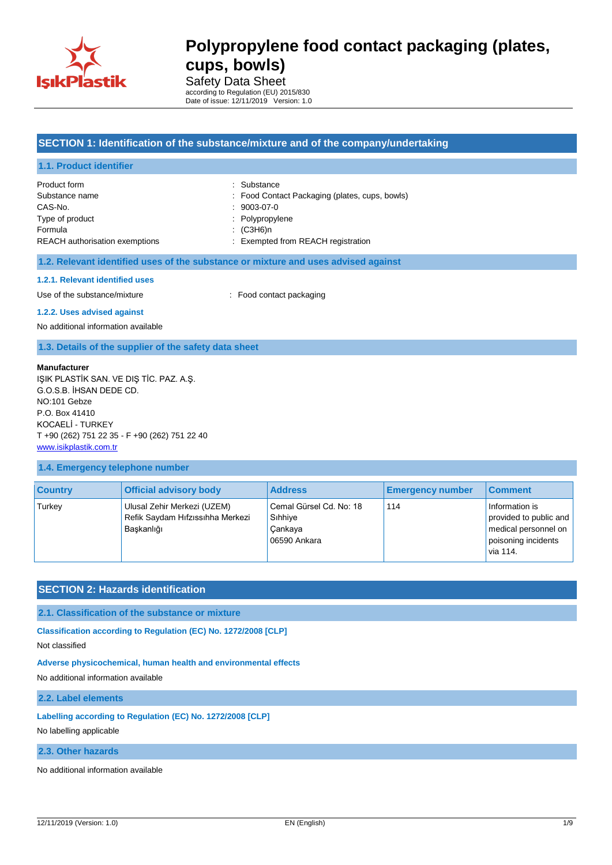

Safety Data Sheet according to Regulation (EU) 2015/830 Date of issue: 12/11/2019 Version: 1.0

### **SECTION 1: Identification of the substance/mixture and of the company/undertaking**

| 1.1. Product identifier               |                                                |
|---------------------------------------|------------------------------------------------|
| Product form                          | : Substance                                    |
| Substance name                        | : Food Contact Packaging (plates, cups, bowls) |
| CAS-No.                               | $: 9003-07-0$                                  |
| Type of product                       | : Polypropylene                                |
| Formula                               | $\colon$ (C3H6)n                               |
| <b>REACH</b> authorisation exemptions | : Exempted from REACH registration             |

#### **1.2. Relevant identified uses of the substance or mixture and uses advised against**

#### **1.2.1. Relevant identified uses**

Use of the substance/mixture : Food contact packaging

#### **1.2.2. Uses advised against**

No additional information available

### **1.3. Details of the supplier of the safety data sheet**

#### **Manufacturer**

IŞIK PLASTİK SAN. VE DIŞ TİC. PAZ. A.Ş. G.O.S.B. İHSAN DEDE CD. NO:101 Gebze P.O. Box 41410 KOCAELİ - TURKEY T +90 (262) 751 22 35 - F +90 (262) 751 22 40 [www.isikplastik.com.tr](../../../AppData/Local/Temp/www.isikplastik.com.tr)

### **1.4. Emergency telephone number**

| <b>Country</b> | <b>Official advisory body</b>                                                 | <b>Address</b>                                                | <b>Emergency number</b> | <b>Comment</b>                                                                                      |
|----------------|-------------------------------------------------------------------------------|---------------------------------------------------------------|-------------------------|-----------------------------------------------------------------------------------------------------|
| Turkey         | Ulusal Zehir Merkezi (UZEM)<br>Refik Saydam Hıfzıssıhha Merkezi<br>Baskanlığı | Cemal Gürsel Cd. No: 18<br>Sihhiye<br>Cankaya<br>06590 Ankara | 114                     | Information is<br>provided to public and<br>medical personnel on<br>poisoning incidents<br>via 114. |

### **SECTION 2: Hazards identification**

### **2.1. Classification of the substance or mixture**

**Classification according to Regulation (EC) No. 1272/2008 [CLP]**

Not classified

#### **Adverse physicochemical, human health and environmental effects**

No additional information available

### **2.2. Label elements**

### **Labelling according to Regulation (EC) No. 1272/2008 [CLP]**

No labelling applicable

#### **2.3. Other hazards**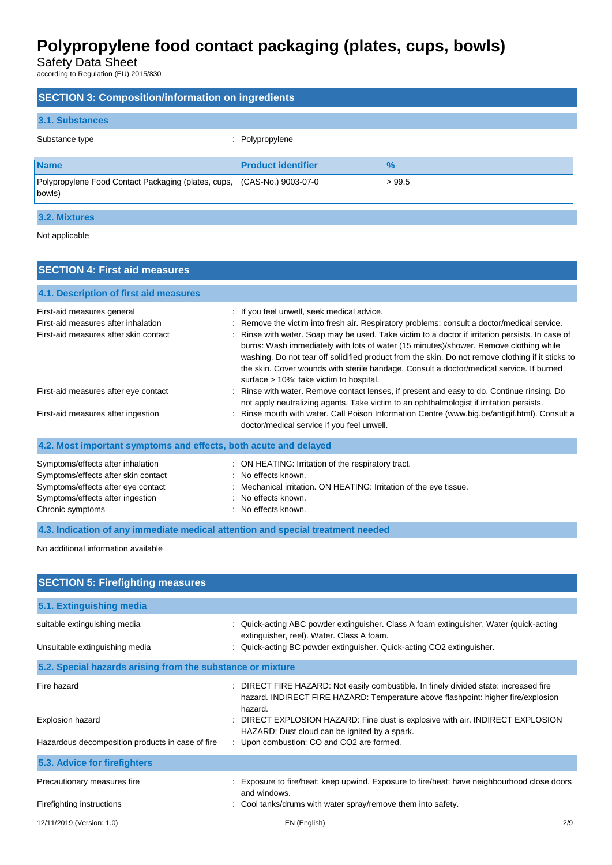Safety Data Sheet

according to Regulation (EU) 2015/830

| <b>SECTION 3: Composition/information on ingredients</b>      |                           |               |
|---------------------------------------------------------------|---------------------------|---------------|
| 3.1. Substances                                               |                           |               |
| Substance type<br>÷                                           | Polypropylene             |               |
| <b>Name</b>                                                   | <b>Product identifier</b> | $\frac{9}{6}$ |
| Polypropylene Food Contact Packaging (plates, cups,<br>bowls) | (CAS-No.) 9003-07-0       | >99.5         |
| 3.2. Mixtures                                                 |                           |               |

Not applicable

| <b>SECTION 4: First aid measures</b>                                                                                                                                   |                                                                                                                                                                                                                                                                                                                                                                                                                                                                                                                                      |  |  |  |
|------------------------------------------------------------------------------------------------------------------------------------------------------------------------|--------------------------------------------------------------------------------------------------------------------------------------------------------------------------------------------------------------------------------------------------------------------------------------------------------------------------------------------------------------------------------------------------------------------------------------------------------------------------------------------------------------------------------------|--|--|--|
| 4.1. Description of first aid measures                                                                                                                                 |                                                                                                                                                                                                                                                                                                                                                                                                                                                                                                                                      |  |  |  |
| First-aid measures general                                                                                                                                             | : If you feel unwell, seek medical advice.                                                                                                                                                                                                                                                                                                                                                                                                                                                                                           |  |  |  |
| First-aid measures after inhalation<br>First-aid measures after skin contact                                                                                           | : Remove the victim into fresh air. Respiratory problems: consult a doctor/medical service.<br>: Rinse with water. Soap may be used. Take victim to a doctor if irritation persists. In case of<br>burns: Wash immediately with lots of water (15 minutes)/shower. Remove clothing while<br>washing. Do not tear off solidified product from the skin. Do not remove clothing if it sticks to<br>the skin. Cover wounds with sterile bandage. Consult a doctor/medical service. If burned<br>surface > 10%: take victim to hospital. |  |  |  |
| First-aid measures after eye contact                                                                                                                                   | : Rinse with water. Remove contact lenses, if present and easy to do. Continue rinsing. Do<br>not apply neutralizing agents. Take victim to an ophthalmologist if irritation persists.                                                                                                                                                                                                                                                                                                                                               |  |  |  |
| First-aid measures after ingestion                                                                                                                                     | : Rinse mouth with water. Call Poison Information Centre (www.big.be/antigif.html). Consult a<br>doctor/medical service if you feel unwell.                                                                                                                                                                                                                                                                                                                                                                                          |  |  |  |
| 4.2. Most important symptoms and effects, both acute and delayed                                                                                                       |                                                                                                                                                                                                                                                                                                                                                                                                                                                                                                                                      |  |  |  |
| Symptoms/effects after inhalation<br>Symptoms/effects after skin contact<br>Symptoms/effects after eye contact<br>Symptoms/effects after ingestion<br>Chronic symptoms | : ON HEATING: Irritation of the respiratory tract.<br>: No effects known.<br>: Mechanical irritation. ON HEATING: Irritation of the eye tissue.<br>$\therefore$ No effects known.<br>: No effects known.                                                                                                                                                                                                                                                                                                                             |  |  |  |
| 4.3. Indication of any immediate medical attention and special treatment needed                                                                                        |                                                                                                                                                                                                                                                                                                                                                                                                                                                                                                                                      |  |  |  |

| <b>SECTION 5: Firefighting measures</b>                    |                                                                                                                                                                                       |
|------------------------------------------------------------|---------------------------------------------------------------------------------------------------------------------------------------------------------------------------------------|
| 5.1. Extinguishing media                                   |                                                                                                                                                                                       |
| suitable extinguishing media                               | : Quick-acting ABC powder extinguisher. Class A foam extinguisher. Water (quick-acting                                                                                                |
| Unsuitable extinguishing media                             | extinguisher, reel). Water. Class A foam.<br>Quick-acting BC powder extinguisher. Quick-acting CO2 extinguisher.                                                                      |
| 5.2. Special hazards arising from the substance or mixture |                                                                                                                                                                                       |
| Fire hazard                                                | : DIRECT FIRE HAZARD: Not easily combustible. In finely divided state: increased fire<br>hazard. INDIRECT FIRE HAZARD: Temperature above flashpoint: higher fire/explosion<br>hazard. |
| <b>Explosion hazard</b>                                    | DIRECT EXPLOSION HAZARD: Fine dust is explosive with air. INDIRECT EXPLOSION<br>HAZARD: Dust cloud can be ignited by a spark.                                                         |
| Hazardous decomposition products in case of fire           | : Upon combustion: CO and CO2 are formed.                                                                                                                                             |
| 5.3. Advice for firefighters                               |                                                                                                                                                                                       |
| Precautionary measures fire                                | : Exposure to fire/heat: keep upwind. Exposure to fire/heat: have neighbourhood close doors<br>and windows.                                                                           |
| Firefighting instructions                                  | Cool tanks/drums with water spray/remove them into safety.                                                                                                                            |
| 12/11/2019 (Version: 1.0)                                  | EN (English)<br>2/9                                                                                                                                                                   |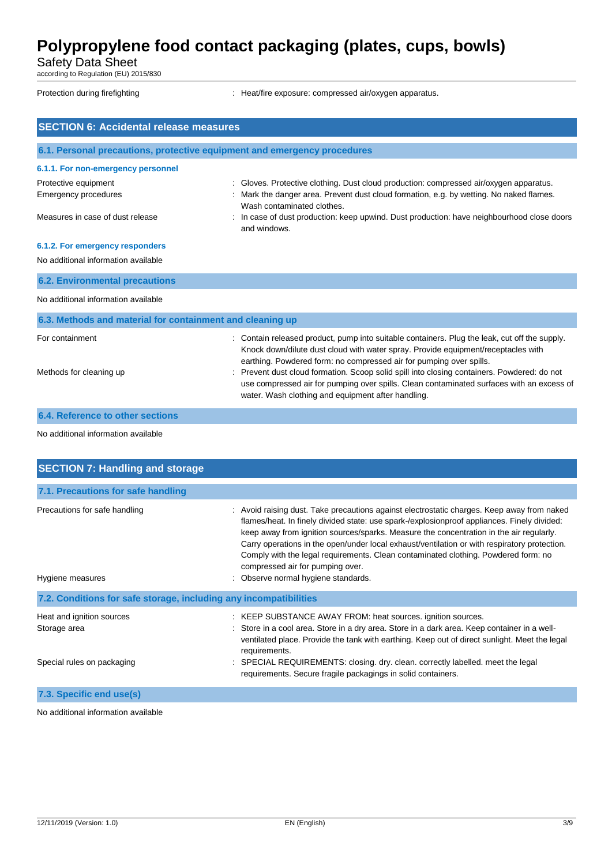Safety Data Sheet

according to Regulation (EU) 2015/830

Protection during firefighting  $\qquad \qquad$ : Heat/fire exposure: compressed air/oxygen apparatus.

| <b>SECTION 6: Accidental release measures</b>                                                                   |                                                                                                                                                                                                                                                                                                                                                                                                                                                                                                             |  |
|-----------------------------------------------------------------------------------------------------------------|-------------------------------------------------------------------------------------------------------------------------------------------------------------------------------------------------------------------------------------------------------------------------------------------------------------------------------------------------------------------------------------------------------------------------------------------------------------------------------------------------------------|--|
| 6.1. Personal precautions, protective equipment and emergency procedures                                        |                                                                                                                                                                                                                                                                                                                                                                                                                                                                                                             |  |
| 6.1.1. For non-emergency personnel                                                                              |                                                                                                                                                                                                                                                                                                                                                                                                                                                                                                             |  |
| Protective equipment<br><b>Emergency procedures</b>                                                             | : Gloves. Protective clothing. Dust cloud production: compressed air/oxygen apparatus.<br>: Mark the danger area. Prevent dust cloud formation, e.g. by wetting. No naked flames.<br>Wash contaminated clothes.                                                                                                                                                                                                                                                                                             |  |
| Measures in case of dust release                                                                                | : In case of dust production: keep upwind. Dust production: have neighbourhood close doors<br>and windows.                                                                                                                                                                                                                                                                                                                                                                                                  |  |
| 6.1.2. For emergency responders<br>No additional information available                                          |                                                                                                                                                                                                                                                                                                                                                                                                                                                                                                             |  |
| <b>6.2. Environmental precautions</b>                                                                           |                                                                                                                                                                                                                                                                                                                                                                                                                                                                                                             |  |
| No additional information available                                                                             |                                                                                                                                                                                                                                                                                                                                                                                                                                                                                                             |  |
| 6.3. Methods and material for containment and cleaning up                                                       |                                                                                                                                                                                                                                                                                                                                                                                                                                                                                                             |  |
| For containment<br>Methods for cleaning up                                                                      | : Contain released product, pump into suitable containers. Plug the leak, cut off the supply.<br>Knock down/dilute dust cloud with water spray. Provide equipment/receptacles with<br>earthing. Powdered form: no compressed air for pumping over spills.<br>: Prevent dust cloud formation. Scoop solid spill into closing containers. Powdered: do not<br>use compressed air for pumping over spills. Clean contaminated surfaces with an excess of<br>water. Wash clothing and equipment after handling. |  |
| <b>6.4. Reference to other sections</b>                                                                         |                                                                                                                                                                                                                                                                                                                                                                                                                                                                                                             |  |
| No additional information available                                                                             |                                                                                                                                                                                                                                                                                                                                                                                                                                                                                                             |  |
| <b>SECTION 7: Handling and storage</b>                                                                          |                                                                                                                                                                                                                                                                                                                                                                                                                                                                                                             |  |
| and the state of the state of the state of the state of the state of the state of the state of the state of the |                                                                                                                                                                                                                                                                                                                                                                                                                                                                                                             |  |

| 7.1. Precautions for safe handling                                |                                                                                                                                                                                                                                                                                                                                                                                                                                                                                                                                                          |
|-------------------------------------------------------------------|----------------------------------------------------------------------------------------------------------------------------------------------------------------------------------------------------------------------------------------------------------------------------------------------------------------------------------------------------------------------------------------------------------------------------------------------------------------------------------------------------------------------------------------------------------|
| Precautions for safe handling<br>Hygiene measures                 | Avoid raising dust. Take precautions against electrostatic charges. Keep away from naked<br>÷<br>flames/heat. In finely divided state: use spark-/explosionproof appliances. Finely divided:<br>keep away from ignition sources/sparks. Measure the concentration in the air regularly.<br>Carry operations in the open/under local exhaust/ventilation or with respiratory protection.<br>Comply with the legal requirements. Clean contaminated clothing. Powdered form: no<br>compressed air for pumping over.<br>: Observe normal hygiene standards. |
| 7.2. Conditions for safe storage, including any incompatibilities |                                                                                                                                                                                                                                                                                                                                                                                                                                                                                                                                                          |
| Heat and ignition sources<br>Storage area                         | : KEEP SUBSTANCE AWAY FROM: heat sources. ignition sources.<br>: Store in a cool area. Store in a dry area. Store in a dark area. Keep container in a well-<br>ventilated place. Provide the tank with earthing. Keep out of direct sunlight. Meet the legal<br>requirements.                                                                                                                                                                                                                                                                            |
| Special rules on packaging                                        | : SPECIAL REQUIREMENTS: closing. dry. clean. correctly labelled. meet the legal<br>requirements. Secure fragile packagings in solid containers.                                                                                                                                                                                                                                                                                                                                                                                                          |
| 7.3. Specific end use(s)                                          |                                                                                                                                                                                                                                                                                                                                                                                                                                                                                                                                                          |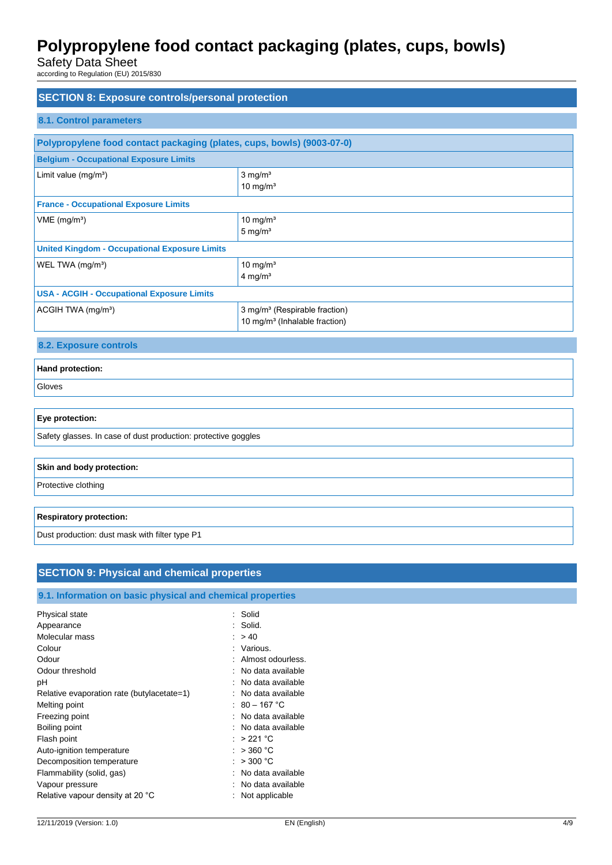Safety Data Sheet

according to Regulation (EU) 2015/830

| <b>SECTION 8: Exposure controls/personal protection</b><br><b>8.1. Control parameters</b> |                                                                                        |  |
|-------------------------------------------------------------------------------------------|----------------------------------------------------------------------------------------|--|
|                                                                                           | Polypropylene food contact packaging (plates, cups, bowls) (9003-07-0)                 |  |
| <b>Belgium - Occupational Exposure Limits</b>                                             |                                                                                        |  |
| Limit value (mg/m <sup>3</sup> )                                                          | $3$ mg/m <sup>3</sup><br>10 mg/ $m3$                                                   |  |
| <b>France - Occupational Exposure Limits</b>                                              |                                                                                        |  |
| VME (mg/m <sup>3</sup> )                                                                  | $10$ mg/m <sup>3</sup><br>$5 \text{ mg/m}^3$                                           |  |
| <b>United Kingdom - Occupational Exposure Limits</b>                                      |                                                                                        |  |
| WEL TWA (mg/m <sup>3</sup> )                                                              | 10 mg/ $m3$<br>$4$ mg/m <sup>3</sup>                                                   |  |
| <b>USA - ACGIH - Occupational Exposure Limits</b>                                         |                                                                                        |  |
| ACGIH TWA (mg/m <sup>3</sup> )                                                            | 3 mg/m <sup>3</sup> (Respirable fraction)<br>10 mg/m <sup>3</sup> (Inhalable fraction) |  |
| 8.2. Exposure controls                                                                    |                                                                                        |  |
| Hand protection:                                                                          |                                                                                        |  |
| Gloves                                                                                    |                                                                                        |  |
| Eye protection:                                                                           |                                                                                        |  |
| Safety glasses. In case of dust production: protective goggles                            |                                                                                        |  |
| Skin and body protection:                                                                 |                                                                                        |  |
| Protective clothing                                                                       |                                                                                        |  |
| <b>Respiratory protection:</b>                                                            |                                                                                        |  |
| Dust production: dust mask with filter type P1                                            |                                                                                        |  |
|                                                                                           |                                                                                        |  |

### **9.1. Information on basic physical and chemical properties**

| Physical state<br>Appearance               | : Solid<br>: Solid. |
|--------------------------------------------|---------------------|
| Molecular mass                             | : > 40              |
| Colour                                     | : Various.          |
| Odour                                      | Almost odourless.   |
| Odour threshold                            | : No data available |
| рH                                         | : No data available |
| Relative evaporation rate (butylacetate=1) | No data available   |
| Melting point                              | : 80 – 167 °C       |
| Freezing point                             | : No data available |
| Boiling point                              | : No data available |
| Flash point                                | $: > 221$ °C        |
| Auto-ignition temperature                  | $>$ 360 °C          |
| Decomposition temperature                  | : $>300\text{ °C}$  |
| Flammability (solid, gas)                  | No data available   |
| Vapour pressure                            | No data available   |
| Relative vapour density at 20 °C           | Not applicable      |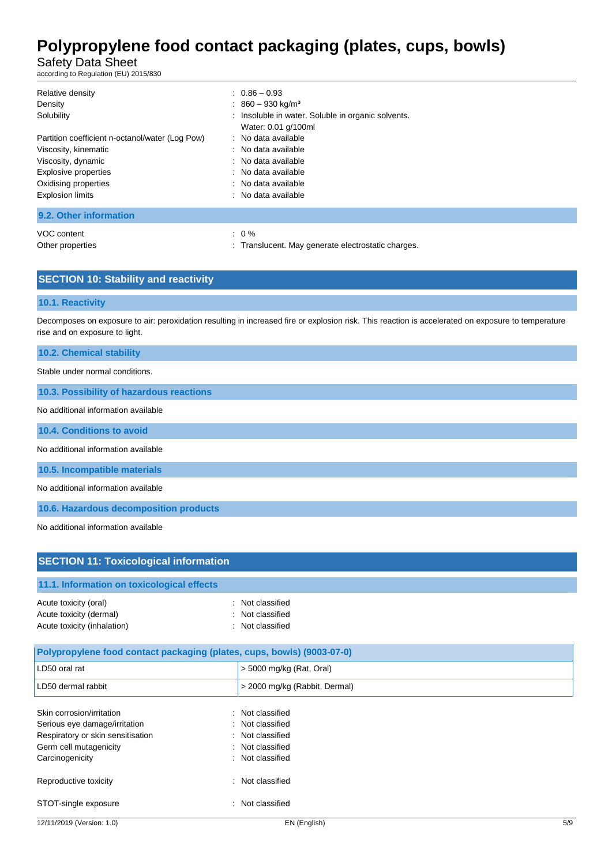Safety Data Sheet

according to Regulation (EU) 2015/830

| Relative density<br>Density<br>Solubility<br>Partition coefficient n-octanol/water (Log Pow)<br>Viscosity, kinematic<br>Viscosity, dynamic<br>Explosive properties<br>Oxidising properties<br><b>Explosion limits</b> | $0.86 - 0.93$<br>: $860 - 930$ kg/m <sup>3</sup><br>: Insoluble in water. Soluble in organic solvents.<br>Water: 0.01 g/100ml<br>: No data available<br>: No data available<br>: No data available<br>: No data available<br>: No data available<br>: No data available |
|-----------------------------------------------------------------------------------------------------------------------------------------------------------------------------------------------------------------------|-------------------------------------------------------------------------------------------------------------------------------------------------------------------------------------------------------------------------------------------------------------------------|
| 9.2. Other information                                                                                                                                                                                                |                                                                                                                                                                                                                                                                         |
| VOC content                                                                                                                                                                                                           | $\therefore$ 0 %                                                                                                                                                                                                                                                        |

Other properties **in the contract of the contract of the contract of the contract of the contract of the contract of the contract of the contract of the contract of the contract of the contract of the contract of the contr** 

| <b>SECTION 10: Stability and reactivity</b> |  |
|---------------------------------------------|--|
|---------------------------------------------|--|

### **10.1. Reactivity**

Decomposes on exposure to air: peroxidation resulting in increased fire or explosion risk. This reaction is accelerated on exposure to temperature rise and on exposure to light.

**10.2. Chemical stability**

Stable under normal conditions.

**10.3. Possibility of hazardous reactions**

No additional information available

**10.4. Conditions to avoid**

No additional information available

**10.5. Incompatible materials**

No additional information available

**10.6. Hazardous decomposition products**

No additional information available

| <b>SECTION 11: Toxicological information</b>                                                                                                 |                                                                                                  |  |
|----------------------------------------------------------------------------------------------------------------------------------------------|--------------------------------------------------------------------------------------------------|--|
| 11.1. Information on toxicological effects                                                                                                   |                                                                                                  |  |
| Acute toxicity (oral)<br>٠<br>Acute toxicity (dermal)<br>Acute toxicity (inhalation)                                                         | Not classified<br>Not classified<br>Not classified<br>÷                                          |  |
| Polypropylene food contact packaging (plates, cups, bowls) (9003-07-0)                                                                       |                                                                                                  |  |
| LD50 oral rat                                                                                                                                | $>$ 5000 mg/kg (Rat, Oral)                                                                       |  |
| LD50 dermal rabbit                                                                                                                           | > 2000 mg/kg (Rabbit, Dermal)                                                                    |  |
| Skin corrosion/irritation<br>Serious eye damage/irritation<br>Respiratory or skin sensitisation<br>Germ cell mutagenicity<br>Carcinogenicity | Not classified<br>÷<br>Not classified<br>÷<br>Not classified<br>Not classified<br>Not classified |  |

STOT-single exposure in the state of the state of the STOT-single exposure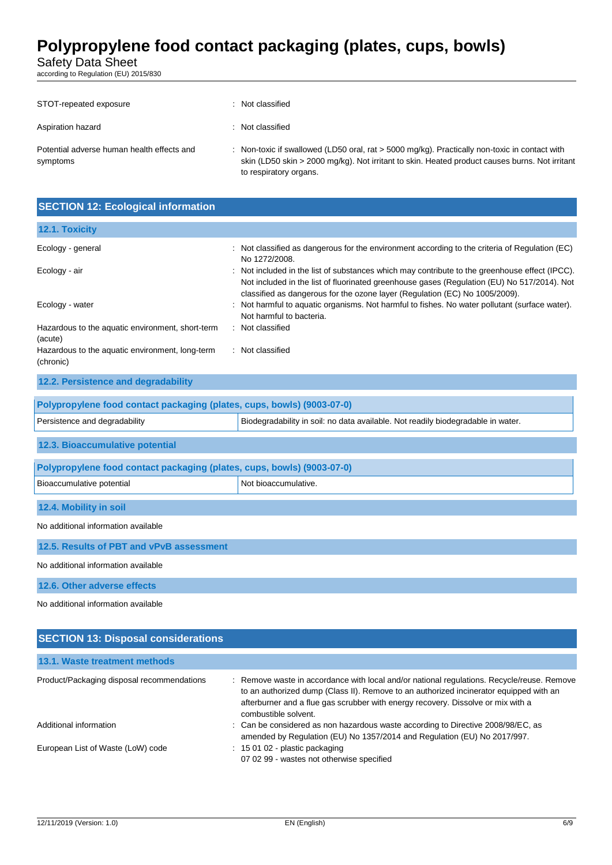Safety Data Sheet

according to Regulation (EU) 2015/830

| STOT-repeated exposure                                 | Not classified                                                                                                                                                                                                              |
|--------------------------------------------------------|-----------------------------------------------------------------------------------------------------------------------------------------------------------------------------------------------------------------------------|
| Aspiration hazard                                      | Not classified                                                                                                                                                                                                              |
| Potential adverse human health effects and<br>symptoms | : Non-toxic if swallowed (LD50 oral, rat $>$ 5000 mg/kg). Practically non-toxic in contact with<br>skin (LD50 skin > 2000 mg/kg). Not irritant to skin. Heated product causes burns. Not irritant<br>to respiratory organs. |

| <b>SECTION 12: Ecological information</b>                    |                                                                                                                                                                                                                                                                              |  |
|--------------------------------------------------------------|------------------------------------------------------------------------------------------------------------------------------------------------------------------------------------------------------------------------------------------------------------------------------|--|
| 12.1. Toxicity                                               |                                                                                                                                                                                                                                                                              |  |
| Ecology - general                                            | : Not classified as dangerous for the environment according to the criteria of Regulation (EC)<br>No 1272/2008.                                                                                                                                                              |  |
| Ecology - air                                                | : Not included in the list of substances which may contribute to the greenhouse effect (IPCC).<br>Not included in the list of fluorinated greenhouse gases (Regulation (EU) No 517/2014). Not<br>classified as dangerous for the ozone layer (Regulation (EC) No 1005/2009). |  |
| Ecology - water                                              | : Not harmful to aquatic organisms. Not harmful to fishes. No water pollutant (surface water).<br>Not harmful to bacteria.                                                                                                                                                   |  |
| Hazardous to the aquatic environment, short-term<br>(acute)  | : Not classified                                                                                                                                                                                                                                                             |  |
| Hazardous to the aquatic environment, long-term<br>(chronic) | : Not classified                                                                                                                                                                                                                                                             |  |

### **12.2. Persistence and degradability**

| Polypropylene food contact packaging (plates, cups, bowls) (9003-07-0)                                            |  |  |
|-------------------------------------------------------------------------------------------------------------------|--|--|
| Biodegradability in soil: no data available. Not readily biodegradable in water.<br>Persistence and degradability |  |  |
| 12.3. Bioaccumulative potential                                                                                   |  |  |

| Polypropylene food contact packaging (plates, cups, bowls) (9003-07-0) |                      |  |
|------------------------------------------------------------------------|----------------------|--|
| Bioaccumulative potential                                              | Not bioaccumulative. |  |
|                                                                        |                      |  |
| 12.4. Mobility in soil                                                 |                      |  |
| No additional information available                                    |                      |  |
| 12.5. Results of PBT and vPvB assessment                               |                      |  |

No additional information available

**12.6. Other adverse effects**

| <b>SECTION 13: Disposal considerations</b> |                                                                                                                                                                                                                                                                                                  |  |
|--------------------------------------------|--------------------------------------------------------------------------------------------------------------------------------------------------------------------------------------------------------------------------------------------------------------------------------------------------|--|
| 13.1. Waste treatment methods              |                                                                                                                                                                                                                                                                                                  |  |
| Product/Packaging disposal recommendations | : Remove waste in accordance with local and/or national regulations. Recycle/reuse. Remove<br>to an authorized dump (Class II). Remove to an authorized incinerator equipped with an<br>afterburner and a flue gas scrubber with energy recovery. Dissolve or mix with a<br>combustible solvent. |  |
| Additional information                     | : Can be considered as non hazardous waste according to Directive 2008/98/EC, as<br>amended by Regulation (EU) No 1357/2014 and Regulation (EU) No 2017/997.                                                                                                                                     |  |
| European List of Waste (LoW) code          | $: 150102$ - plastic packaging<br>07 02 99 - wastes not otherwise specified                                                                                                                                                                                                                      |  |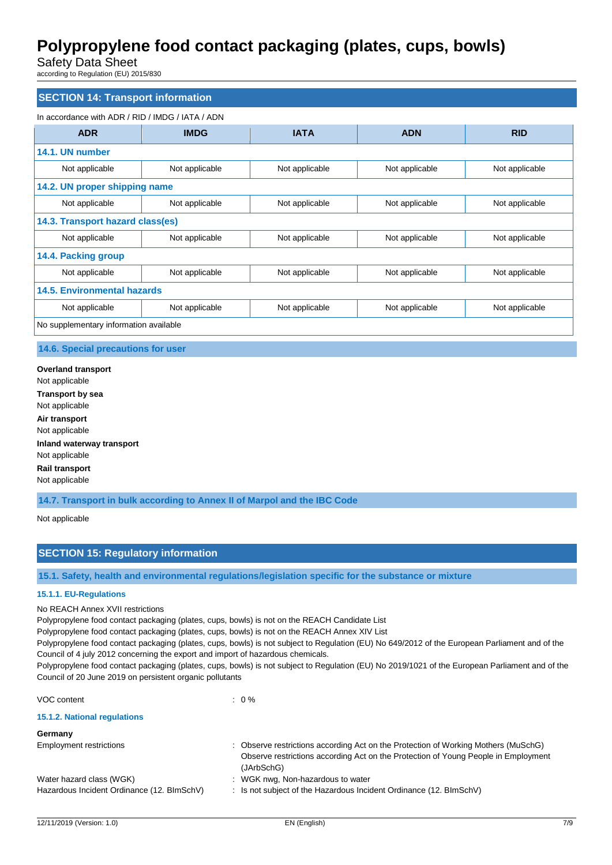Safety Data Sheet

according to Regulation (EU) 2015/830

### **SECTION 14: Transport information**

### In accordance with ADR / RID / IMDG / IATA / ADN

| <b>ADR</b>                         | <b>IMDG</b>                            | <b>IATA</b>    | <b>ADN</b>     | <b>RID</b>     |
|------------------------------------|----------------------------------------|----------------|----------------|----------------|
| 14.1. UN number                    |                                        |                |                |                |
| Not applicable                     | Not applicable                         | Not applicable | Not applicable | Not applicable |
| 14.2. UN proper shipping name      |                                        |                |                |                |
| Not applicable                     | Not applicable                         | Not applicable | Not applicable | Not applicable |
| 14.3. Transport hazard class(es)   |                                        |                |                |                |
| Not applicable                     | Not applicable                         | Not applicable | Not applicable | Not applicable |
| 14.4. Packing group                |                                        |                |                |                |
| Not applicable                     | Not applicable                         | Not applicable | Not applicable | Not applicable |
| <b>14.5. Environmental hazards</b> |                                        |                |                |                |
| Not applicable                     | Not applicable                         | Not applicable | Not applicable | Not applicable |
|                                    | No supplementary information available |                |                |                |

### **14.6. Special precautions for user**

**Overland transport** Not applicable **Transport by sea** Not applicable **Air transport** Not applicable **Inland waterway transport** Not applicable **Rail transport** Not applicable

**14.7. Transport in bulk according to Annex II of Marpol and the IBC Code**

#### Not applicable

### **SECTION 15: Regulatory information**

**15.1. Safety, health and environmental regulations/legislation specific for the substance or mixture**

 $\therefore$  0 %

### **15.1.1. EU-Regulations**

#### No REACH Annex XVII restrictions

Polypropylene food contact packaging (plates, cups, bowls) is not on the REACH Candidate List

Polypropylene food contact packaging (plates, cups, bowls) is not on the REACH Annex XIV List

Polypropylene food contact packaging (plates, cups, bowls) is not subject to Regulation (EU) No 649/2012 of the European Parliament and of the Council of 4 july 2012 concerning the export and import of hazardous chemicals.

Polypropylene food contact packaging (plates, cups, bowls) is not subject to Regulation (EU) No 2019/1021 of the European Parliament and of the Council of 20 June 2019 on persistent organic pollutants

| VOC content |  |  |
|-------------|--|--|
|             |  |  |

### **15.1.2. National regulations**

**Germany**

| Observe restrictions according Act on the Protection of Working Mothers (MuSchG)   |
|------------------------------------------------------------------------------------|
| Observe restrictions according Act on the Protection of Young People in Employment |
| (JArbSchG)                                                                         |
| : WGK nwg, Non-hazardous to water                                                  |
| : Is not subject of the Hazardous Incident Ordinance $(12. \text{BlmSchV})$        |
|                                                                                    |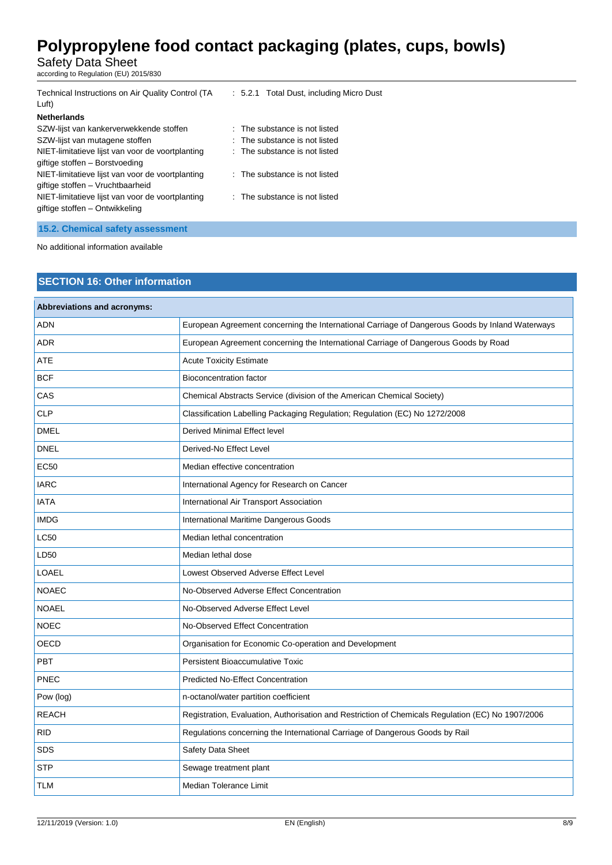Safety Data Sheet

according to Regulation (EU) 2015/830

| Technical Instructions on Air Quality Control (TA<br>Luft) | : 5.2.1 Total Dust, including Micro Dust |
|------------------------------------------------------------|------------------------------------------|
| <b>Netherlands</b>                                         |                                          |
| SZW-lijst van kankerverwekkende stoffen                    | : The substance is not listed            |
| SZW-lijst van mutagene stoffen                             | : The substance is not listed            |
| NIET-limitatieve lijst van voor de voortplanting           | : The substance is not listed            |
| giftige stoffen - Borstvoeding                             |                                          |
| NIET-limitatieve lijst van voor de voortplanting           | $\therefore$ The substance is not listed |
| giftige stoffen - Vruchtbaarheid                           |                                          |
| NIET-limitatieve lijst van voor de voortplanting           | : The substance is not listed            |
| giftige stoffen – Ontwikkeling                             |                                          |
|                                                            |                                          |
| 15.2. Chemical safety assessment                           |                                          |

No additional information available

### **SECTION 16: Other information**

| <b>Abbreviations and acronyms:</b> |                                                                                                   |
|------------------------------------|---------------------------------------------------------------------------------------------------|
| <b>ADN</b>                         | European Agreement concerning the International Carriage of Dangerous Goods by Inland Waterways   |
| <b>ADR</b>                         | European Agreement concerning the International Carriage of Dangerous Goods by Road               |
| ATE                                | <b>Acute Toxicity Estimate</b>                                                                    |
| <b>BCF</b>                         | <b>Bioconcentration factor</b>                                                                    |
| CAS                                | Chemical Abstracts Service (division of the American Chemical Society)                            |
| <b>CLP</b>                         | Classification Labelling Packaging Regulation; Regulation (EC) No 1272/2008                       |
| <b>DMEL</b>                        | Derived Minimal Effect level                                                                      |
| <b>DNEL</b>                        | Derived-No Effect Level                                                                           |
| <b>EC50</b>                        | Median effective concentration                                                                    |
| <b>IARC</b>                        | International Agency for Research on Cancer                                                       |
| <b>IATA</b>                        | International Air Transport Association                                                           |
| <b>IMDG</b>                        | International Maritime Dangerous Goods                                                            |
| <b>LC50</b>                        | Median lethal concentration                                                                       |
| LD50                               | Median lethal dose                                                                                |
| <b>LOAEL</b>                       | Lowest Observed Adverse Effect Level                                                              |
| <b>NOAEC</b>                       | No-Observed Adverse Effect Concentration                                                          |
| <b>NOAEL</b>                       | No-Observed Adverse Effect Level                                                                  |
| <b>NOEC</b>                        | No-Observed Effect Concentration                                                                  |
| <b>OECD</b>                        | Organisation for Economic Co-operation and Development                                            |
| <b>PBT</b>                         | <b>Persistent Bioaccumulative Toxic</b>                                                           |
| <b>PNEC</b>                        | <b>Predicted No-Effect Concentration</b>                                                          |
| Pow (log)                          | n-octanol/water partition coefficient                                                             |
| <b>REACH</b>                       | Registration, Evaluation, Authorisation and Restriction of Chemicals Regulation (EC) No 1907/2006 |
| <b>RID</b>                         | Regulations concerning the International Carriage of Dangerous Goods by Rail                      |
| <b>SDS</b>                         | Safety Data Sheet                                                                                 |
| <b>STP</b>                         | Sewage treatment plant                                                                            |
| <b>TLM</b>                         | Median Tolerance Limit                                                                            |
|                                    |                                                                                                   |